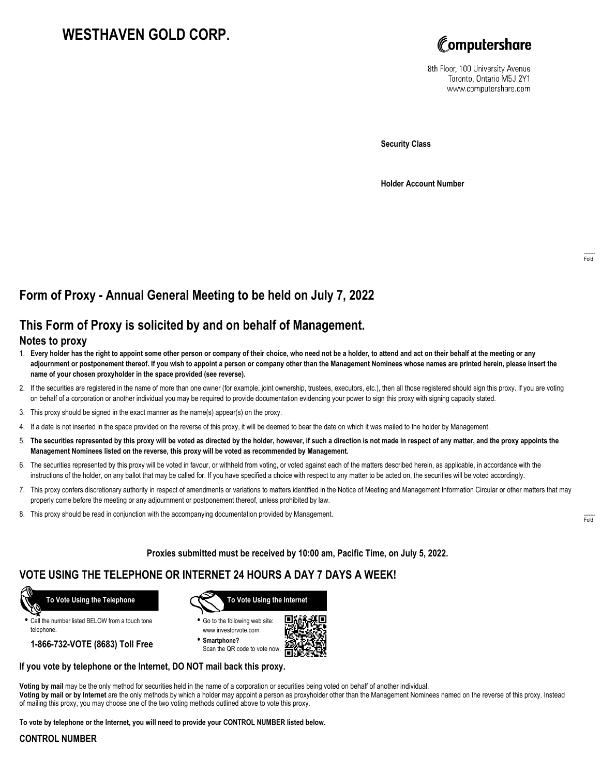# **WESTHAVEN GOLD CORP.**



8th Floor, 100 University Avenue Toronto, Ontario M5J 2Y1 www.computershare.com

**Security Class**

**Holder Account Number**

## **Form of Proxy - Annual General Meeting to be held on July 7, 2022**

### **This Form of Proxy is solicited by and on behalf of Management.**

#### **Notes to proxy**

- 1. **Every holder has the right to appoint some other person or company of their choice, who need not be a holder, to attend and act on their behalf at the meeting or any adjournment or postponement thereof. If you wish to appoint a person or company other than the Management Nominees whose names are printed herein, please insert the name of your chosen proxyholder in the space provided (see reverse).**
- 2. If the securities are registered in the name of more than one owner (for example, joint ownership, trustees, executors, etc.), then all those registered should sign this proxy. If you are voting on behalf of a corporation or another individual you may be required to provide documentation evidencing your power to sign this proxy with signing capacity stated.
- 3. This proxy should be signed in the exact manner as the name(s) appear(s) on the proxy.
- 4. If a date is not inserted in the space provided on the reverse of this proxy, it will be deemed to bear the date on which it was mailed to the holder by Management.
- 5. **The securities represented by this proxy will be voted as directed by the holder, however, if such a direction is not made in respect of any matter, and the proxy appoints the Management Nominees listed on the reverse, this proxy will be voted as recommended by Management.**
- 6. The securities represented by this proxy will be voted in favour, or withheld from voting, or voted against each of the matters described herein, as applicable, in accordance with the instructions of the holder, on any ballot that may be called for. If you have specified a choice with respect to any matter to be acted on, the securities will be voted accordingly.
- 7. This proxy confers discretionary authority in respect of amendments or variations to matters identified in the Notice of Meeting and Management Information Circular or other matters that may properly come before the meeting or any adjournment or postponement thereof, unless prohibited by law.
- 8. This proxy should be read in conjunction with the accompanying documentation provided by Management.

**Proxies submitted must be received by 10:00 am, Pacific Time, on July 5, 2022.**

### **VOTE USING THE TELEPHONE OR INTERNET 24 HOURS A DAY 7 DAYS A WEEK!**



**•** Call the number listed BELOW from a touch tone telephone.

**1-866-732-VOTE (8683) Toll Free**



**•** Go to the following web site: www.investorvote.com

**• Smartphone?** Scan the QR code to vote now.



#### **If you vote by telephone or the Internet, DO NOT mail back this proxy.**

**Voting by mail** may be the only method for securities held in the name of a corporation or securities being voted on behalf of another individual. **Voting by mail or by Internet** are the only methods by which a holder may appoint a person as proxyholder other than the Management Nominees named on the reverse of this proxy. Instead of mailing this proxy, you may choose one of the two voting methods outlined above to vote this proxy.

**To vote by telephone or the Internet, you will need to provide your CONTROL NUMBER listed below.**

#### **CONTROL NUMBER**